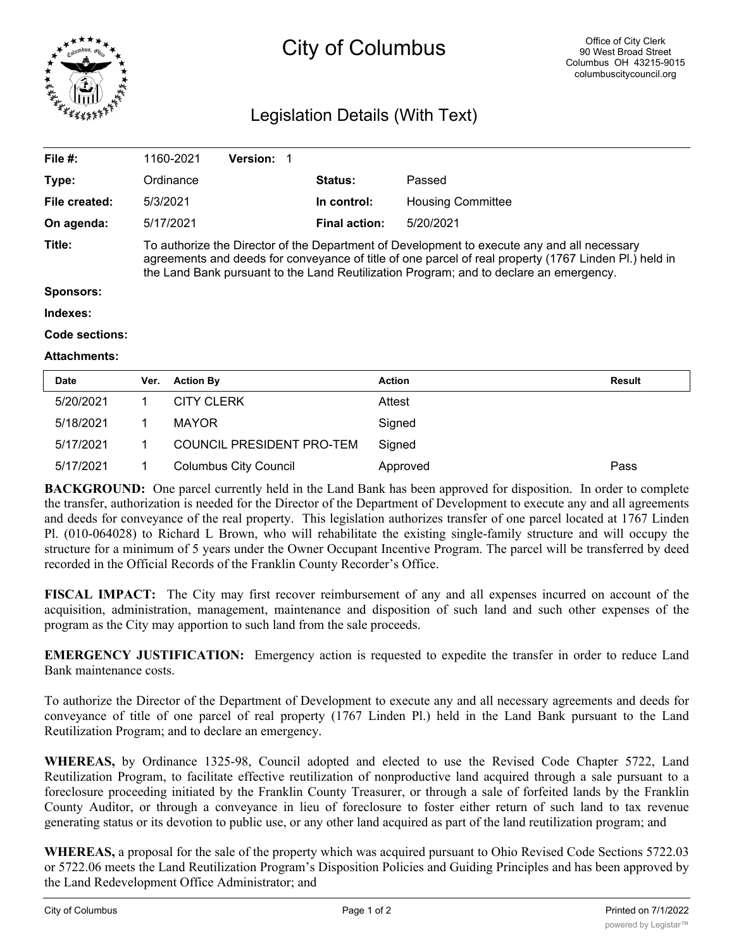

## City of Columbus

## Legislation Details (With Text)

| File $#$ :                 | 1160-2021                                                                                                                                                                                                                                                                                      | <b>Version:</b> |                |                          |        |
|----------------------------|------------------------------------------------------------------------------------------------------------------------------------------------------------------------------------------------------------------------------------------------------------------------------------------------|-----------------|----------------|--------------------------|--------|
| Type:                      | Ordinance                                                                                                                                                                                                                                                                                      |                 | <b>Status:</b> | Passed                   |        |
| File created:              | 5/3/2021                                                                                                                                                                                                                                                                                       |                 | In control:    | <b>Housing Committee</b> |        |
| On agenda:                 | 5/17/2021                                                                                                                                                                                                                                                                                      |                 | Final action:  | 5/20/2021                |        |
| Title:<br><b>Sponsors:</b> | To authorize the Director of the Department of Development to execute any and all necessary<br>agreements and deeds for conveyance of title of one parcel of real property (1767 Linden Pl.) held in<br>the Land Bank pursuant to the Land Reutilization Program; and to declare an emergency. |                 |                |                          |        |
| Indexes:                   |                                                                                                                                                                                                                                                                                                |                 |                |                          |        |
|                            |                                                                                                                                                                                                                                                                                                |                 |                |                          |        |
| Code sections:             |                                                                                                                                                                                                                                                                                                |                 |                |                          |        |
| <b>Attachments:</b>        |                                                                                                                                                                                                                                                                                                |                 |                |                          |        |
| <b>Date</b>                | <b>Action By</b><br>Ver.                                                                                                                                                                                                                                                                       |                 | <b>Action</b>  |                          | Result |

| 5/20/2021 | <b>CITY CLERK</b>            | Attest   |      |
|-----------|------------------------------|----------|------|
| 5/18/2021 | MAYOR                        | Signed   |      |
| 5/17/2021 | COUNCIL PRESIDENT PRO-TEM    | Sianed   |      |
| 5/17/2021 | <b>Columbus City Council</b> | Approved | Pass |

**BACKGROUND:** One parcel currently held in the Land Bank has been approved for disposition. In order to complete the transfer, authorization is needed for the Director of the Department of Development to execute any and all agreements and deeds for conveyance of the real property. This legislation authorizes transfer of one parcel located at 1767 Linden Pl. (010-064028) to Richard L Brown, who will rehabilitate the existing single-family structure and will occupy the structure for a minimum of 5 years under the Owner Occupant Incentive Program. The parcel will be transferred by deed recorded in the Official Records of the Franklin County Recorder's Office.

**FISCAL IMPACT:** The City may first recover reimbursement of any and all expenses incurred on account of the acquisition, administration, management, maintenance and disposition of such land and such other expenses of the program as the City may apportion to such land from the sale proceeds.

**EMERGENCY JUSTIFICATION:** Emergency action is requested to expedite the transfer in order to reduce Land Bank maintenance costs.

To authorize the Director of the Department of Development to execute any and all necessary agreements and deeds for conveyance of title of one parcel of real property (1767 Linden Pl.) held in the Land Bank pursuant to the Land Reutilization Program; and to declare an emergency.

**WHEREAS,** by Ordinance 1325-98, Council adopted and elected to use the Revised Code Chapter 5722, Land Reutilization Program, to facilitate effective reutilization of nonproductive land acquired through a sale pursuant to a foreclosure proceeding initiated by the Franklin County Treasurer, or through a sale of forfeited lands by the Franklin County Auditor, or through a conveyance in lieu of foreclosure to foster either return of such land to tax revenue generating status or its devotion to public use, or any other land acquired as part of the land reutilization program; and

**WHEREAS,** a proposal for the sale of the property which was acquired pursuant to Ohio Revised Code Sections 5722.03 or 5722.06 meets the Land Reutilization Program's Disposition Policies and Guiding Principles and has been approved by the Land Redevelopment Office Administrator; and